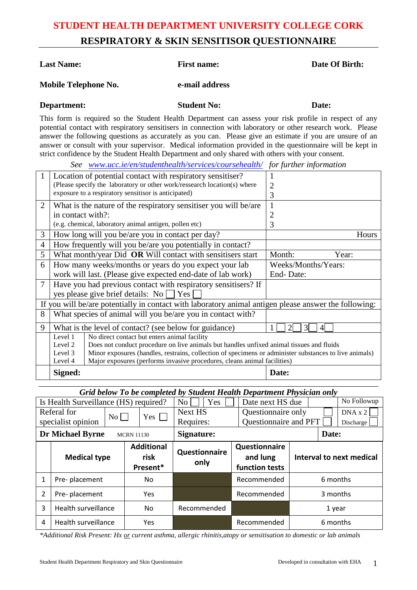### **STUDENT HEALTH DEPARTMENT UNIVERSITY COLLEGE CORK RESPIRATORY & SKIN SENSITISOR QUESTIONNAIRE**

| <b>Last Name:</b>                                                                                                                                                                                                                                                                                                                                                                                                                                                                                                                                                                                                                    |                                                                                                                                                                                                | <b>First name:</b> | Date Of Birth: |  |  |
|--------------------------------------------------------------------------------------------------------------------------------------------------------------------------------------------------------------------------------------------------------------------------------------------------------------------------------------------------------------------------------------------------------------------------------------------------------------------------------------------------------------------------------------------------------------------------------------------------------------------------------------|------------------------------------------------------------------------------------------------------------------------------------------------------------------------------------------------|--------------------|----------------|--|--|
| Mobile Telephone No.                                                                                                                                                                                                                                                                                                                                                                                                                                                                                                                                                                                                                 |                                                                                                                                                                                                | e-mail address     |                |  |  |
|                                                                                                                                                                                                                                                                                                                                                                                                                                                                                                                                                                                                                                      | Department:                                                                                                                                                                                    | <b>Student No:</b> | Date:          |  |  |
| This form is required so the Student Health Department can assess your risk profile in respect of any<br>potential contact with respiratory sensitisers in connection with laboratory or other research work. Please<br>answer the following questions as accurately as you can. Please give an estimate if you are unsure of an<br>answer or consult with your supervisor. Medical information provided in the questionnaire will be kept in<br>strict confidence by the Student Health Department and only shared with others with your consent.<br>See www.ucc.ie/en/studenthealth/services/coursehealth/ for further information |                                                                                                                                                                                                |                    |                |  |  |
|                                                                                                                                                                                                                                                                                                                                                                                                                                                                                                                                                                                                                                      | Location of potential contact with respiratory sensitiser?<br>(Please specify the laboratory or other work/ressearch location(s) where<br>exposure to a respiratory sensitisor is anticipated) |                    | 2<br>3         |  |  |
|                                                                                                                                                                                                                                                                                                                                                                                                                                                                                                                                                                                                                                      | What is the nature of the requirements consition you will be one                                                                                                                               |                    |                |  |  |

|                             | strict confidence by the Student Health Department and only shared with others with your consent. |                     |  |  |  |
|-----------------------------|---------------------------------------------------------------------------------------------------|---------------------|--|--|--|
|                             | See www.ucc.ie/en/studenthealth/services/coursehealth/ for further information                    |                     |  |  |  |
|                             | Location of potential contact with respiratory sensitiser?                                        |                     |  |  |  |
|                             | (Please specify the laboratory or other work/ressearch location(s) where                          |                     |  |  |  |
|                             | exposure to a respiratory sensitisor is anticipated)                                              |                     |  |  |  |
| $\mathcal{D}_{\mathcal{L}}$ | What is the nature of the respiratory sensitiser you will be/are                                  |                     |  |  |  |
|                             | in contact with?:                                                                                 |                     |  |  |  |
|                             | (e.g. chemical, laboratory animal antigen, pollen etc)                                            |                     |  |  |  |
| 3                           | How long will you be/are you in contact per day?                                                  | Hours               |  |  |  |
| $\overline{4}$              | How frequently will you be/are you potentially in contact?                                        |                     |  |  |  |
| 5                           | What month/year Did OR Will contact with sensitisers start                                        | Month:<br>Year:     |  |  |  |
| 6                           | How many weeks/months or years do you expect your lab                                             | Weeks/Months/Years: |  |  |  |
|                             | work will last. (Please give expected end-date of lab work)                                       | End-Date:           |  |  |  |

If you will be/are potentially in contact with laboratory animal antigen please answer the following:

9 What is the level of contact? (see below for guidance)  $1 \n\prod_{i=1}^n 3 \n\prod_{i=1}^n 4 \n\binom{n}{i}$ 

**Signed: Date:**

Major exposures (performs invasive procedures, cleans animal facilities)

7 Have you had previous contact with respiratory sensitisers? If

8 What species of animal will you be/are you in contact with?

No direct contact but enters animal facility

yes please give brief details: No  $\Box$  Yes  $\Box$ 

Level 1 Level 2 Level 3 Level 4

|  |  | Grid below To be completed by Student Health Department Physician only |
|--|--|------------------------------------------------------------------------|

Does not conduct procedure on live animals but handles unfixed animal tissues and fluids

Minor exposures (handles, restrains, collection of specimens or administer substances to live animals)

| Is Health Surveillance (HS) required?        |                     |                                       | Yes<br>No <sub>1</sub> | Date next HS due                            | No Followup              |
|----------------------------------------------|---------------------|---------------------------------------|------------------------|---------------------------------------------|--------------------------|
| Referal for<br>$\mathrm{No}$                 |                     | $Yes \mid$                            | Next HS                | Questionnaire only                          | DNA x 2                  |
|                                              | specialist opinion  |                                       | Requires:              | Questionnaire and PFT                       | Discharge                |
| <b>Dr Michael Byrne</b><br><b>MCRN 11130</b> |                     |                                       | Signature:             |                                             | Date:                    |
|                                              | <b>Medical type</b> | <b>Additional</b><br>risk<br>Present* | Questionnaire<br>only  | Questionnaire<br>and lung<br>function tests | Interval to next medical |
| $\mathbf{1}$                                 | Pre-placement       | No.                                   |                        | Recommended                                 | 6 months                 |
| $\overline{2}$                               | Pre-placement       | Yes                                   |                        | Recommended                                 | 3 months                 |
| 3                                            | Health surveillance | No.                                   | Recommended            |                                             | 1 year                   |
| 4                                            | Health surveillance | Yes                                   |                        | Recommended                                 | 6 months                 |

*\*Additional Risk Present: Hx or current asthma, allergic rhinitis,atopy or sensitisation to domestic or lab animals*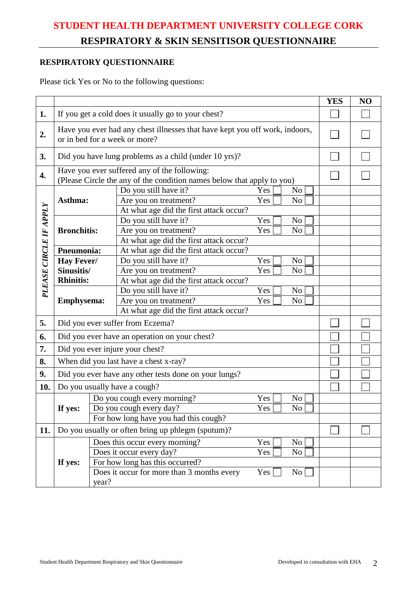# **STUDENT HEALTH DEPARTMENT UNIVERSITY COLLEGE CORK RESPIRATORY & SKIN SENSITISOR QUESTIONNAIRE**

### **RESPIRATORY QUESTIONNAIRE**

Please tick Yes or No to the following questions:

|                        |                                                                                                              |                                                                                                                        | <b>YES</b> | NO |
|------------------------|--------------------------------------------------------------------------------------------------------------|------------------------------------------------------------------------------------------------------------------------|------------|----|
| 1.                     | If you get a cold does it usually go to your chest?                                                          |                                                                                                                        |            |    |
| 2.                     | Have you ever had any chest illnesses that have kept you off work, indoors,<br>or in bed for a week or more? |                                                                                                                        |            |    |
| 3.                     |                                                                                                              | Did you have lung problems as a child (under 10 yrs)?                                                                  |            |    |
| 4.                     |                                                                                                              | Have you ever suffered any of the following:<br>(Please Circle the any of the condition names below that apply to you) |            |    |
|                        |                                                                                                              | Do you still have it?<br>Yes<br>N <sub>o</sub>                                                                         |            |    |
|                        | Asthma:                                                                                                      | Are you on treatment?<br>Yes<br>N <sub>o</sub>                                                                         |            |    |
|                        |                                                                                                              | At what age did the first attack occur?                                                                                |            |    |
| PLEASE CIRCLE IF APPLY |                                                                                                              | Do you still have it?<br>Yes<br>N <sub>o</sub>                                                                         |            |    |
|                        | <b>Bronchitis:</b>                                                                                           | Are you on treatment?<br>Yes<br>N <sub>o</sub>                                                                         |            |    |
|                        |                                                                                                              | At what age did the first attack occur?                                                                                |            |    |
|                        | Pneumonia:                                                                                                   | At what age did the first attack occur?                                                                                |            |    |
|                        | Hay Fever/                                                                                                   | Do you still have it?<br>N <sub>o</sub><br>Yes                                                                         |            |    |
|                        | Sinusitis/                                                                                                   | Yes<br>Are you on treatment?<br>N <sub>o</sub>                                                                         |            |    |
|                        | <b>Rhinitis:</b><br>At what age did the first attack occur?                                                  |                                                                                                                        |            |    |
|                        |                                                                                                              | Do you still have it?<br>Yes<br>N <sub>o</sub>                                                                         |            |    |
|                        | <b>Emphysema:</b>                                                                                            | Are you on treatment?<br>Yes<br>N <sub>o</sub>                                                                         |            |    |
|                        |                                                                                                              | At what age did the first attack occur?                                                                                |            |    |
| 5.                     | Did you ever suffer from Eczema?                                                                             |                                                                                                                        |            |    |
| 6.                     | Did you ever have an operation on your chest?                                                                |                                                                                                                        |            |    |
| 7.                     | Did you ever injure your chest?                                                                              |                                                                                                                        |            |    |
| 8.                     | When did you last have a chest x-ray?                                                                        |                                                                                                                        |            |    |
| 9.                     | Did you ever have any other tests done on your lungs?                                                        |                                                                                                                        |            |    |
| 10.                    | Do you usually have a cough?                                                                                 |                                                                                                                        |            |    |
|                        |                                                                                                              | Do you cough every morning?<br>Yes<br>No                                                                               |            |    |
|                        | If yes:                                                                                                      | Do you cough every day?<br>Yes  <br>No                                                                                 |            |    |
|                        |                                                                                                              | For how long have you had this cough?                                                                                  |            |    |
| 11.                    | Do you usually or often bring up phlegm (sputum)?                                                            |                                                                                                                        |            |    |
|                        |                                                                                                              | Does this occur every morning?<br>No<br>Yes                                                                            |            |    |
|                        |                                                                                                              | Does it occur every day?<br>No<br>Yes                                                                                  |            |    |
|                        | If yes:                                                                                                      | For how long has this occurred?                                                                                        |            |    |
|                        |                                                                                                              | Does it occur for more than 3 months every<br>Yes<br>No<br>year?                                                       |            |    |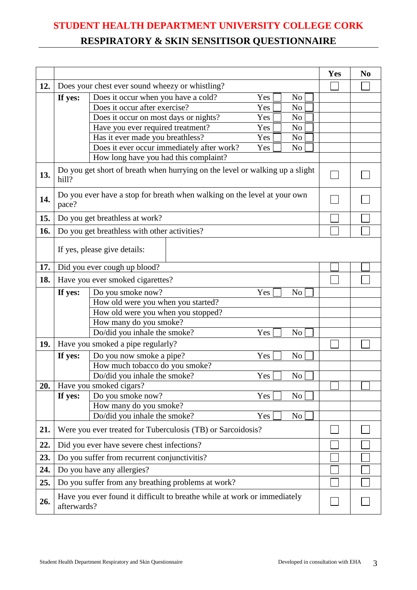### **STUDENT HEALTH DEPARTMENT UNIVERSITY COLLEGE CORK**

### **RESPIRATORY & SKIN SENSITISOR QUESTIONNAIRE**

|     |                                                                                         |                                                                                 | Yes | N <sub>0</sub> |  |
|-----|-----------------------------------------------------------------------------------------|---------------------------------------------------------------------------------|-----|----------------|--|
| 12. | Does your chest ever sound wheezy or whistling?                                         |                                                                                 |     |                |  |
|     | If yes:                                                                                 | Does it occur when you have a cold?<br>N <sub>o</sub><br>Yes                    |     |                |  |
|     |                                                                                         | Does it occur after exercise?<br>Yes<br>N <sub>o</sub>                          |     |                |  |
|     |                                                                                         | Does it occur on most days or nights?<br>Yes<br>N <sub>o</sub>                  |     |                |  |
|     |                                                                                         | Have you ever required treatment?<br>Yes<br>N <sub>0</sub>                      |     |                |  |
|     |                                                                                         | Has it ever made you breathless?<br>Yes<br>N <sub>o</sub>                       |     |                |  |
|     |                                                                                         | Does it ever occur immediately after work?<br>Yes<br>No                         |     |                |  |
|     |                                                                                         | How long have you had this complaint?                                           |     |                |  |
| 13. | hill?                                                                                   | Do you get short of breath when hurrying on the level or walking up a slight    |     |                |  |
| 14. | pace?                                                                                   | Do you ever have a stop for breath when walking on the level at your own        |     |                |  |
| 15. |                                                                                         | Do you get breathless at work?                                                  |     |                |  |
| 16. |                                                                                         | Do you get breathless with other activities?                                    |     |                |  |
|     |                                                                                         |                                                                                 |     |                |  |
|     |                                                                                         | If yes, please give details:                                                    |     |                |  |
| 17. |                                                                                         | Did you ever cough up blood?                                                    |     |                |  |
| 18. |                                                                                         | Have you ever smoked cigarettes?                                                |     |                |  |
|     | If yes:                                                                                 |                                                                                 |     |                |  |
|     |                                                                                         | Do you smoke now?<br>How old were you when you started?                         |     |                |  |
|     |                                                                                         | How old were you when you stopped?                                              |     |                |  |
|     |                                                                                         | How many do you smoke?                                                          |     |                |  |
|     |                                                                                         | Do/did you inhale the smoke?<br>Yes<br>N <sub>0</sub>                           |     |                |  |
| 19. |                                                                                         | Have you smoked a pipe regularly?                                               |     |                |  |
|     | If yes:                                                                                 | Do you now smoke a pipe?<br>Yes<br>No                                           |     |                |  |
|     |                                                                                         | How much tobacco do you smoke?                                                  |     |                |  |
|     |                                                                                         | Do/did you inhale the smoke?<br>Yes<br>No                                       |     |                |  |
| 20. |                                                                                         | Have you smoked cigars?                                                         |     |                |  |
|     | If yes:                                                                                 | Do you smoke now?<br>Yes<br>N <sub>o</sub>                                      |     |                |  |
|     |                                                                                         | How many do you smoke?<br>Do/did you inhale the smoke?<br>Yes<br>N <sub>o</sub> |     |                |  |
|     |                                                                                         |                                                                                 |     |                |  |
| 21. | Were you ever treated for Tuberculosis (TB) or Sarcoidosis?                             |                                                                                 |     |                |  |
| 22. | Did you ever have severe chest infections?                                              |                                                                                 |     |                |  |
| 23. | Do you suffer from recurrent conjunctivitis?                                            |                                                                                 |     |                |  |
| 24. | Do you have any allergies?                                                              |                                                                                 |     |                |  |
| 25. |                                                                                         | Do you suffer from any breathing problems at work?                              |     |                |  |
| 26. | Have you ever found it difficult to breathe while at work or immediately<br>afterwards? |                                                                                 |     |                |  |